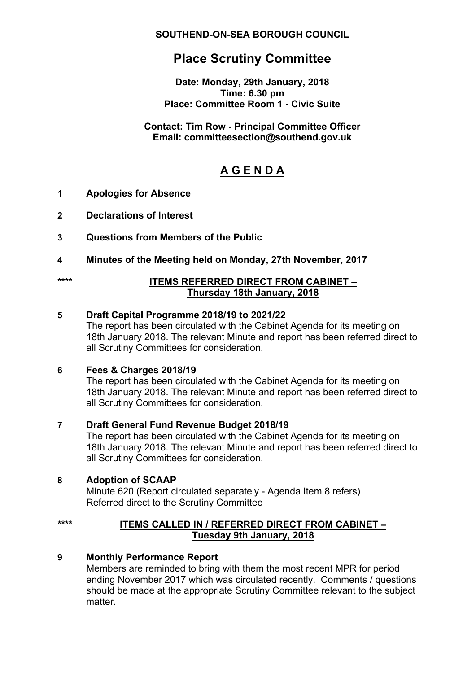**SOUTHEND-ON-SEA BOROUGH COUNCIL**

# **Place Scrutiny Committee**

**Date: Monday, 29th January, 2018 Time: 6.30 pm Place: Committee Room 1 - Civic Suite**

#### **Contact: Tim Row - Principal Committee Officer Email: committeesection@southend.gov.uk**

# **A G E N D A**

# **1 Apologies for Absence**

- **2 Declarations of Interest**
- **3 Questions from Members of the Public**
- **4 Minutes of the Meeting held on Monday, 27th November, 2017**
- 

#### **\*\*\*\* ITEMS REFERRED DIRECT FROM CABINET – Thursday 18th January, 2018**

#### **5 Draft Capital Programme 2018/19 to 2021/22**

The report has been circulated with the Cabinet Agenda for its meeting on 18th January 2018. The relevant Minute and report has been referred direct to all Scrutiny Committees for consideration.

#### **6 Fees & Charges 2018/19**

The report has been circulated with the Cabinet Agenda for its meeting on 18th January 2018. The relevant Minute and report has been referred direct to all Scrutiny Committees for consideration.

# **7 Draft General Fund Revenue Budget 2018/19**

The report has been circulated with the Cabinet Agenda for its meeting on 18th January 2018. The relevant Minute and report has been referred direct to all Scrutiny Committees for consideration.

# **8 Adoption of SCAAP**

Minute 620 (Report circulated separately - Agenda Item 8 refers) Referred direct to the Scrutiny Committee

#### **\*\*\*\* ITEMS CALLED IN / REFERRED DIRECT FROM CABINET – Tuesday 9th January, 2018**

# **9 Monthly Performance Report**

Members are reminded to bring with them the most recent MPR for period ending November 2017 which was circulated recently. Comments / questions should be made at the appropriate Scrutiny Committee relevant to the subject matter.